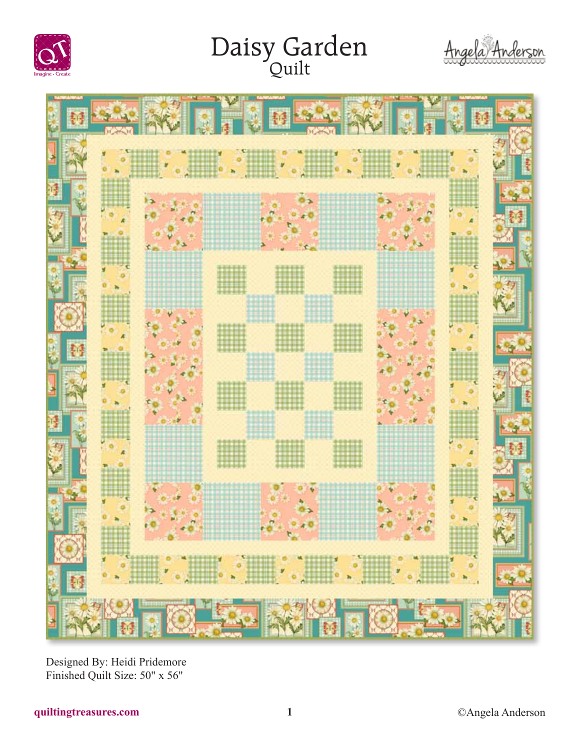

# Daisy Garden





Designed By: Heidi Pridemore Finished Quilt Size: 50" x 56"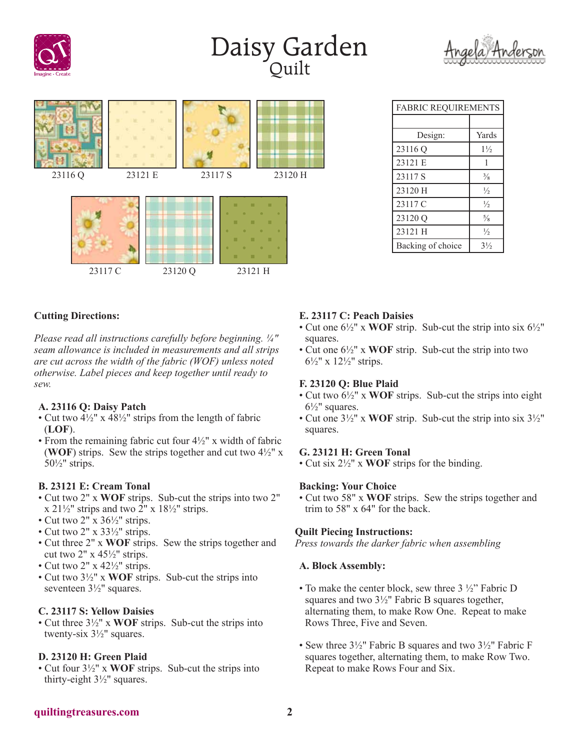

## Daisy Garden





| <b>FABRIC REQUIREMENTS</b> |                |  |  |
|----------------------------|----------------|--|--|
|                            |                |  |  |
| Design:                    | Yards          |  |  |
| 23116 Q                    | $1\frac{1}{2}$ |  |  |
| 23121 E                    | 1              |  |  |
| 23117 S                    | $\frac{3}{8}$  |  |  |
| 23120 H                    | $\frac{1}{2}$  |  |  |
| 23117 C                    | $\frac{1}{2}$  |  |  |
| 23120 Q                    | $\frac{5}{8}$  |  |  |
| 23121 H                    | $\frac{1}{2}$  |  |  |
| Backing of choice          | $3\frac{1}{2}$ |  |  |

## **Cutting Directions:**

*Please read all instructions carefully before beginning. ¼" seam allowance is included in measurements and all strips are cut across the width of the fabric (WOF) unless noted otherwise. Label pieces and keep together until ready to sew.*

#### **A. 23116 Q: Daisy Patch**

- Cut two  $4\frac{1}{2}$ " x  $48\frac{1}{2}$ " strips from the length of fabric (**LOF**).
- From the remaining fabric cut four 4½" x width of fabric (**WOF**) strips. Sew the strips together and cut two  $4\frac{1}{2}$ " x 50½" strips.

### **B. 23121 E: Cream Tonal**

- Cut two 2" x **WOF** strips. Sub-cut the strips into two 2" x  $21\frac{1}{2}$ " strips and two  $2$ " x  $18\frac{1}{2}$ " strips.
- Cut two 2" x 36½" strips.
- Cut two 2" x 33½" strips.
- Cut three 2" x **WOF** strips. Sew the strips together and cut two  $2" \times 45\frac{1}{2}$ " strips.
- Cut two  $2'' \times 42\frac{1}{2}$ " strips.
- Cut two 3½" x **WOF** strips. Sub-cut the strips into seventeen 3½" squares.

#### **C. 23117 S: Yellow Daisies**

• Cut three 3½" x **WOF** strips. Sub-cut the strips into twenty-six 3½" squares.

#### **D. 23120 H: Green Plaid**

• Cut four 3½" x **WOF** strips. Sub-cut the strips into thirty-eight 3½" squares.

## **E. 23117 C: Peach Daisies**

- Cut one 6½" x **WOF** strip. Sub-cut the strip into six 6½" squares.
- Cut one 6½" x **WOF** strip. Sub-cut the strip into two 6½" x 12½" strips.

#### **F. 23120 Q: Blue Plaid**

- Cut two 6½" x **WOF** strips. Sub-cut the strips into eight  $6\frac{1}{2}$ " squares.
- Cut one 3½" x **WOF** strip. Sub-cut the strip into six 3½" squares.

#### **G. 23121 H: Green Tonal**

• Cut six 2½" x **WOF** strips for the binding.

#### **Backing: Your Choice**

• Cut two 58" x **WOF** strips. Sew the strips together and trim to 58" x 64" for the back.

#### **Quilt Piecing Instructions:**

*Press towards the darker fabric when assembling*

#### **A. Block Assembly:**

- To make the center block, sew three  $3\frac{1}{2}$ " Fabric D squares and two 3½" Fabric B squares together, alternating them, to make Row One. Repeat to make Rows Three, Five and Seven.
- Sew three 3½" Fabric B squares and two 3½" Fabric F squares together, alternating them, to make Row Two. Repeat to make Rows Four and Six.